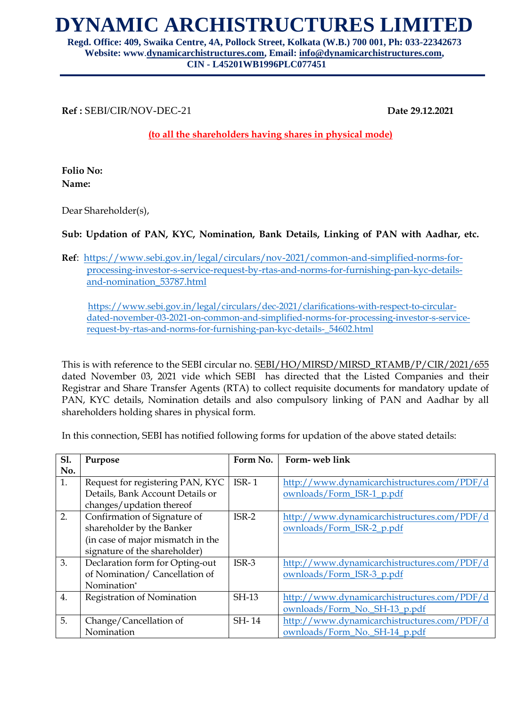## **DYNAMIC ARCHISTRUCTURES LIMITED**

**Regd. Office: 409, Swaika Centre, 4A, Pollock Street, Kolkata (W.B.) 700 001, Ph: 033-22342673 Website: www**.**[dynamicarchistructures.com,](mailto:dynamicarchistructures.com) Email: [info@dynamicarchistructures.com,](mailto:info@dynamicarchistructures.com) CIN - L45201WB1996PLC077451**

**Ref :** SEBI/CIR/NOV-DEC-21 **Date 29.12.2021**

**(to all the shareholders having shares in physical mode)**

**Folio No: Name:**

Dear Shareholder(s),

**Sub: Updation of PAN, KYC, Nomination, Bank Details, Linking of PAN with Aadhar, etc.**

**Ref**: [https://www.sebi.gov.in/legal/circulars/nov-2021/common-and-simplified-norms-for](https://www.sebi.gov.in/legal/circulars/nov-2021/common-and-simplified-norms-for-processing-investor-s-service-request-by-rtas-and-norms-for-furnishing-pan-kyc-details-and-nomination_53787.html)[processing-investor-s-service-request-by-rtas-and-norms-for-furnishing-pan-kyc-details](https://www.sebi.gov.in/legal/circulars/nov-2021/common-and-simplified-norms-for-processing-investor-s-service-request-by-rtas-and-norms-for-furnishing-pan-kyc-details-and-nomination_53787.html)[and-nomination\\_53787.html](https://www.sebi.gov.in/legal/circulars/nov-2021/common-and-simplified-norms-for-processing-investor-s-service-request-by-rtas-and-norms-for-furnishing-pan-kyc-details-and-nomination_53787.html)

 [https://www.sebi.gov.in/legal/circulars/dec-2021/clarifications-with-respect-to-circular](https://www.sebi.gov.in/legal/circulars/dec-2021/clarifications-with-respect-to-circular-dated-november-03-2021-on-common-and-simplified-norms-for-processing-investor-s-service-request-by-rtas-and-norms-for-furnishing-pan-kyc-details-_54602.html)[dated-november-03-2021-on-common-and-simplified-norms-for-processing-investor-s-service](https://www.sebi.gov.in/legal/circulars/dec-2021/clarifications-with-respect-to-circular-dated-november-03-2021-on-common-and-simplified-norms-for-processing-investor-s-service-request-by-rtas-and-norms-for-furnishing-pan-kyc-details-_54602.html)[request-by-rtas-and-norms-for-furnishing-pan-kyc-details-\\_54602.html](https://www.sebi.gov.in/legal/circulars/dec-2021/clarifications-with-respect-to-circular-dated-november-03-2021-on-common-and-simplified-norms-for-processing-investor-s-service-request-by-rtas-and-norms-for-furnishing-pan-kyc-details-_54602.html)

This is with reference to the SEBI circular no. SEBI/HO/MIRSD/MIRSD\_RTAMB/P/CIR/2021/655 dated November 03, 2021 vide which SEBI has directed that the Listed Companies and their Registrar and Share Transfer Agents (RTA) to collect requisite documents for mandatory update of PAN, KYC details, Nomination details and also compulsory linking of PAN and Aadhar by all shareholders holding shares in physical form.

In this connection, SEBI has notified following forms for updation of the above stated details:

| <b>S1.</b> | Purpose                           | Form No. | Form- web link                              |
|------------|-----------------------------------|----------|---------------------------------------------|
| No.        |                                   |          |                                             |
| 1.         | Request for registering PAN, KYC  | $ISR-1$  | http://www.dynamicarchistructures.com/PDF/d |
|            | Details, Bank Account Details or  |          | ownloads/Form_ISR-1_p.pdf                   |
|            | changes/updation thereof          |          |                                             |
| 2.         | Confirmation of Signature of      | $ISR-2$  | http://www.dynamicarchistructures.com/PDF/d |
|            | shareholder by the Banker         |          | ownloads/Form_ISR-2_p.pdf                   |
|            | (in case of major mismatch in the |          |                                             |
|            | signature of the shareholder)     |          |                                             |
| 3.         | Declaration form for Opting-out   | $ISR-3$  | http://www.dynamicarchistructures.com/PDF/d |
|            | of Nomination/Cancellation of     |          | ownloads/Form_ISR-3_p.pdf                   |
|            | Nomination*                       |          |                                             |
| 4.         | Registration of Nomination        | SH-13    | http://www.dynamicarchistructures.com/PDF/d |
|            |                                   |          | ownloads/Form_No._SH-13_p.pdf               |
| 5.         | Change/Cancellation of            | SH-14    | http://www.dynamicarchistructures.com/PDF/d |
|            | Nomination                        |          | ownloads/Form_No._SH-14_p.pdf               |